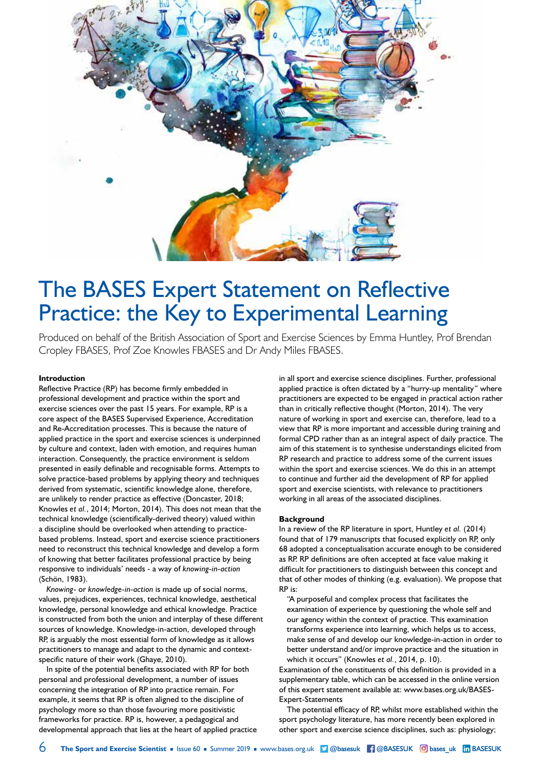

# The BASES Expert Statement on Reflective Practice: the Key to Experimental Learning

Produced on behalf of the British Association of Sport and Exercise Sciences by Emma Huntley, Prof Brendan Cropley FBASES, Prof Zoe Knowles FBASES and Dr Andy Miles FBASES.

## **Introduction**

Reflective Practice (RP) has become firmly embedded in professional development and practice within the sport and exercise sciences over the past 15 years. For example, RP is a core aspect of the BASES Supervised Experience, Accreditation and Re-Accreditation processes. This is because the nature of applied practice in the sport and exercise sciences is underpinned by culture and context, laden with emotion, and requires human interaction. Consequently, the practice environment is seldom presented in easily definable and recognisable forms. Attempts to solve practice-based problems by applying theory and techniques derived from systematic, scientific knowledge alone, therefore, are unlikely to render practice as effective (Doncaster, 2018; Knowles *et al.*, 2014; Morton, 2014). This does not mean that the technical knowledge (scientifically-derived theory) valued within a discipline should be overlooked when attending to practicebased problems. Instead, sport and exercise science practitioners need to reconstruct this technical knowledge and develop a form of knowing that better facilitates professional practice by being responsive to individuals' needs - a way of *knowing-in-action*  (Schön, 1983).

*Knowing*- or *knowledge-in-action* is made up of social norms, values, prejudices, experiences, technical knowledge, aesthetical knowledge, personal knowledge and ethical knowledge. Practice is constructed from both the union and interplay of these different sources of knowledge. Knowledge-in-action, developed through RP, is arguably the most essential form of knowledge as it allows practitioners to manage and adapt to the dynamic and contextspecific nature of their work (Ghaye, 2010).

In spite of the potential benefits associated with RP for both personal and professional development, a number of issues concerning the integration of RP into practice remain. For example, it seems that RP is often aligned to the discipline of psychology more so than those favouring more positivistic frameworks for practice. RP is, however, a pedagogical and developmental approach that lies at the heart of applied practice in all sport and exercise science disciplines. Further, professional applied practice is often dictated by a "hurry-up mentality" where practitioners are expected to be engaged in practical action rather than in critically reflective thought (Morton, 2014). The very nature of working in sport and exercise can, therefore, lead to a view that RP is more important and accessible during training and formal CPD rather than as an integral aspect of daily practice. The aim of this statement is to synthesise understandings elicited from RP research and practice to address some of the current issues within the sport and exercise sciences. We do this in an attempt to continue and further aid the development of RP for applied sport and exercise scientists, with relevance to practitioners working in all areas of the associated disciplines.

### **Background**

In a review of the RP literature in sport, Huntley *et al.* (2014) found that of 179 manuscripts that focused explicitly on RP, only 68 adopted a conceptualisation accurate enough to be considered as RP. RP definitions are often accepted at face value making it difficult for practitioners to distinguish between this concept and that of other modes of thinking (e.g. evaluation). We propose that RP is:

"A purposeful and complex process that facilitates the examination of experience by questioning the whole self and our agency within the context of practice. This examination transforms experience into learning, which helps us to access, make sense of and develop our knowledge-in-action in order to better understand and/or improve practice and the situation in which it occurs" (Knowles *et al.*, 2014, p. 10).

Examination of the constituents of this definition is provided in a supplementary table, which can be accessed in the online version of this expert statement available at: www.bases.org.uk/BASES-Expert-Statements

The potential efficacy of RP, whilst more established within the sport psychology literature, has more recently been explored in other sport and exercise science disciplines, such as: physiology;